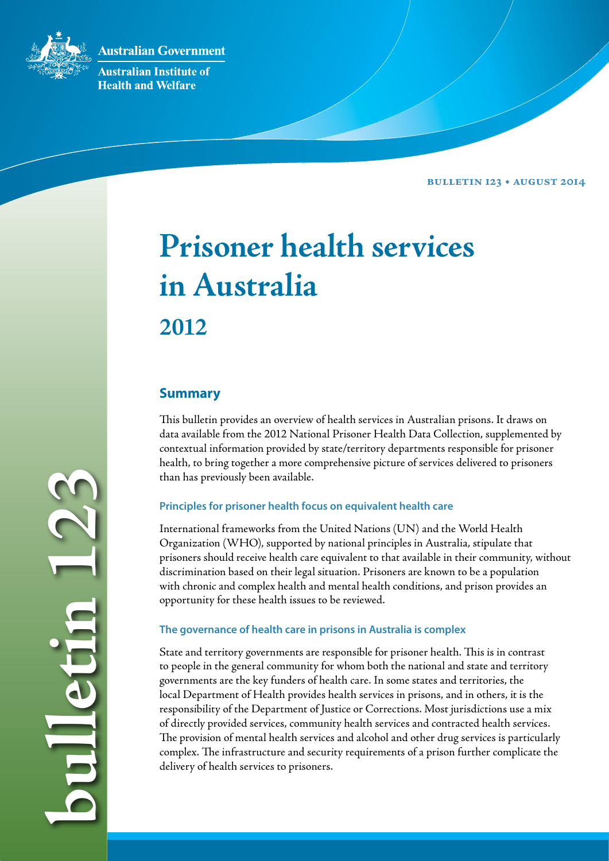**Australian Government** 



**Australian Institute of Health and Welfare** 

**Bulletin 123 • August 2014**

# **Prisoner health services in Australia 2012**

# **Summary**

This bulletin provides an overview of health services in Australian prisons. It draws on data available from the 2012 National Prisoner Health Data Collection, supplemented by contextual information provided by state/territory departments responsible for prisoner health, to bring together a more comprehensive picture of services delivered to prisoners than has previously been available.

# **Principles for prisoner health focus on equivalent health care**

International frameworks from the United Nations (UN) and the World Health Organization (WHO), supported by national principles in Australia, stipulate that prisoners should receive health care equivalent to that available in their community, without discrimination based on their legal situation. Prisoners are known to be a population with chronic and complex health and mental health conditions, and prison provides an opportunity for these health issues to be reviewed.

# **The governance of health care in prisons in Australia is complex**

State and territory governments are responsible for prisoner health. This is in contrast to people in the general community for whom both the national and state and territory governments are the key funders of health care. In some states and territories, the local Department of Health provides health services in prisons, and in others, it is the responsibility of the Department of Justice or Corrections. Most jurisdictions use a mix of directly provided services, community health services and contracted health services. The provision of mental health services and alcohol and other drug services is particularly complex. The infrastructure and security requirements of a prison further complicate the delivery of health services to prisoners.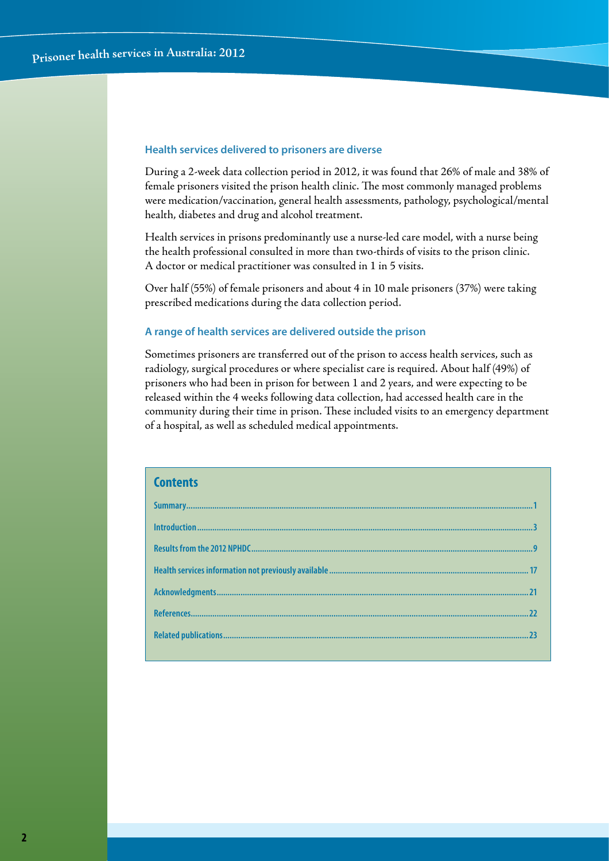#### **Health services delivered to prisoners are diverse**

During a 2-week data collection period in 2012, it was found that 26% of male and 38% of female prisoners visited the prison health clinic. The most commonly managed problems were medication/vaccination, general health assessments, pathology, psychological/mental health, diabetes and drug and alcohol treatment.

Health services in prisons predominantly use a nurse-led care model, with a nurse being the health professional consulted in more than two-thirds of visits to the prison clinic. A doctor or medical practitioner was consulted in 1 in 5 visits.

Over half (55%) of female prisoners and about 4 in 10 male prisoners (37%) were taking prescribed medications during the data collection period.

#### **A range of health services are delivered outside the prison**

Sometimes prisoners are transferred out of the prison to access health services, such as radiology, surgical procedures or where specialist care is required. About half (49%) of prisoners who had been in prison for between 1 and 2 years, and were expecting to be released within the 4 weeks following data collection, had accessed health care in the community during their time in prison. These included visits to an emergency department of a hospital, as well as scheduled medical appointments.

| <b>Contents</b> |  |
|-----------------|--|
|                 |  |
|                 |  |
|                 |  |
|                 |  |
|                 |  |
|                 |  |
|                 |  |
|                 |  |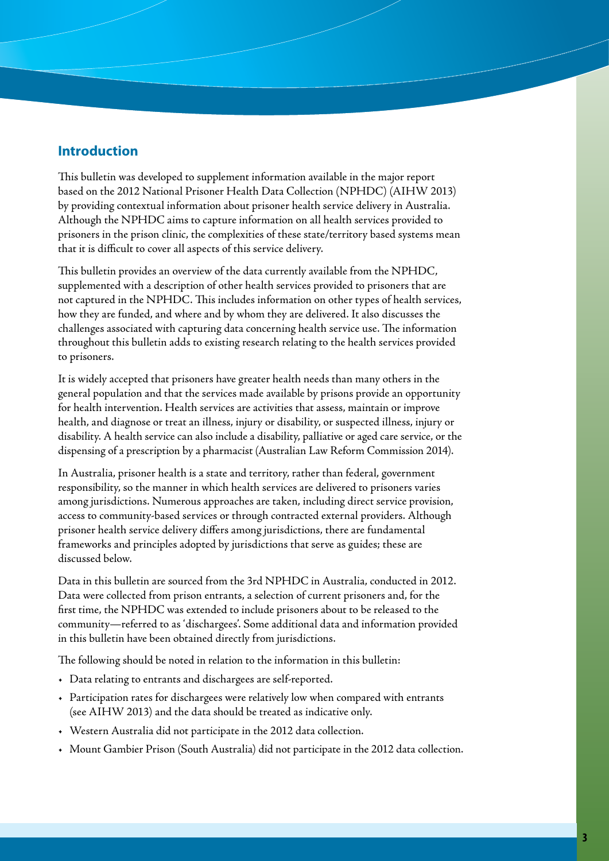# **Introduction**

This bulletin was developed to supplement information available in the major report based on the 2012 National Prisoner Health Data Collection (NPHDC) (AIHW 2013) by providing contextual information about prisoner health service delivery in Australia. Although the NPHDC aims to capture information on all health services provided to prisoners in the prison clinic, the complexities of these state/territory based systems mean that it is difficult to cover all aspects of this service delivery.

This bulletin provides an overview of the data currently available from the NPHDC, supplemented with a description of other health services provided to prisoners that are not captured in the NPHDC. This includes information on other types of health services, how they are funded, and where and by whom they are delivered. It also discusses the challenges associated with capturing data concerning health service use. The information throughout this bulletin adds to existing research relating to the health services provided to prisoners.

It is widely accepted that prisoners have greater health needs than many others in the general population and that the services made available by prisons provide an opportunity for health intervention. Health services are activities that assess, maintain or improve health, and diagnose or treat an illness, injury or disability, or suspected illness, injury or disability. A health service can also include a disability, palliative or aged care service, or the dispensing of a prescription by a pharmacist (Australian Law Reform Commission 2014).

In Australia, prisoner health is a state and territory, rather than federal, government responsibility, so the manner in which health services are delivered to prisoners varies among jurisdictions. Numerous approaches are taken, including direct service provision, access to community-based services or through contracted external providers. Although prisoner health service delivery differs among jurisdictions, there are fundamental frameworks and principles adopted by jurisdictions that serve as guides; these are discussed below.

Data in this bulletin are sourced from the 3rd NPHDC in Australia, conducted in 2012. Data were collected from prison entrants, a selection of current prisoners and, for the first time, the NPHDC was extended to include prisoners about to be released to the community—referred to as 'dischargees'. Some additional data and information provided in this bulletin have been obtained directly from jurisdictions.

The following should be noted in relation to the information in this bulletin:

- • Data relating to entrants and dischargees are self-reported.
- • Participation rates for dischargees were relatively low when compared with entrants (see AIHW 2013) and the data should be treated as indicative only.
- • Western Australia did not participate in the 2012 data collection.
- • Mount Gambier Prison (South Australia) did not participate in the 2012 data collection.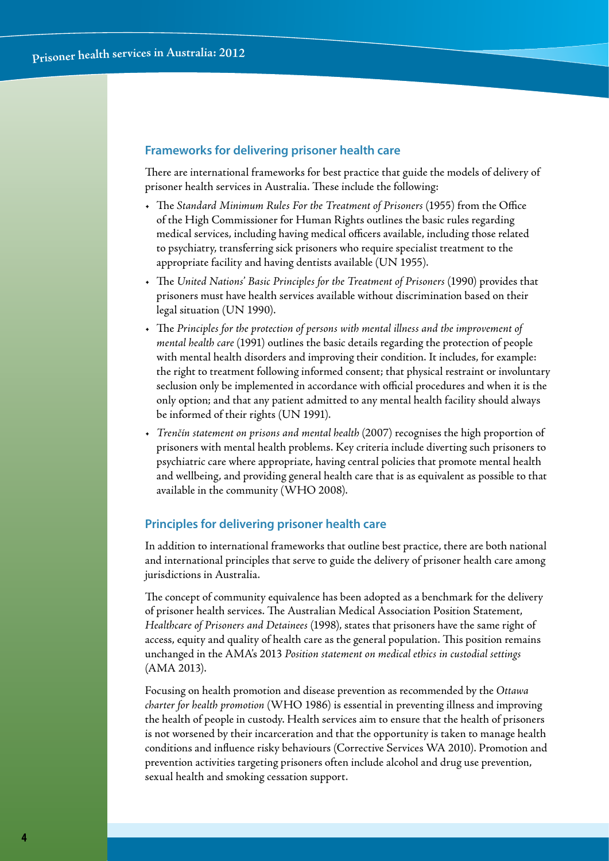#### **Frameworks for delivering prisoner health care**

There are international frameworks for best practice that guide the models of delivery of prisoner health services in Australia. These include the following:

- • The *Standard Minimum Rules For the Treatment of Prisoners* (1955) from the Office of the High Commissioner for Human Rights outlines the basic rules regarding medical services, including having medical officers available, including those related to psychiatry, transferring sick prisoners who require specialist treatment to the appropriate facility and having dentists available (UN 1955).
- • The *United Nations' Basic Principles for the Treatment of Prisoners* (1990) provides that prisoners must have health services available without discrimination based on their legal situation (UN 1990).
- • The *Principles for the protection of persons with mental illness and the improvement of mental health care* (1991) outlines the basic details regarding the protection of people with mental health disorders and improving their condition. It includes, for example: the right to treatment following informed consent; that physical restraint or involuntary seclusion only be implemented in accordance with official procedures and when it is the only option; and that any patient admitted to any mental health facility should always be informed of their rights (UN 1991).
- Trenčín statement on prisons and mental health (2007) recognises the high proportion of prisoners with mental health problems. Key criteria include diverting such prisoners to psychiatric care where appropriate, having central policies that promote mental health and wellbeing, and providing general health care that is as equivalent as possible to that available in the community (WHO 2008).

### **Principles for delivering prisoner health care**

In addition to international frameworks that outline best practice, there are both national and international principles that serve to guide the delivery of prisoner health care among jurisdictions in Australia.

The concept of community equivalence has been adopted as a benchmark for the delivery of prisoner health services. The Australian Medical Association Position Statement, *Healthcare of Prisoners and Detainees* (1998), states that prisoners have the same right of access, equity and quality of health care as the general population. This position remains unchanged in the AMA's 2013 *Position statement on medical ethics in custodial settings* (AMA 2013).

Focusing on health promotion and disease prevention as recommended by the *Ottawa charter for health promotion* (WHO 1986) is essential in preventing illness and improving the health of people in custody. Health services aim to ensure that the health of prisoners is not worsened by their incarceration and that the opportunity is taken to manage health conditions and influence risky behaviours (Corrective Services WA 2010). Promotion and prevention activities targeting prisoners often include alcohol and drug use prevention, sexual health and smoking cessation support.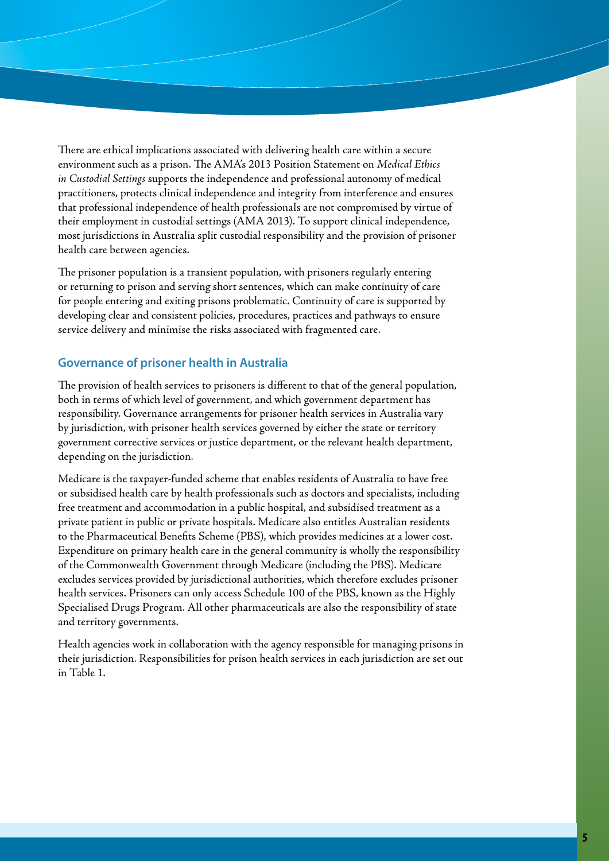There are ethical implications associated with delivering health care within a secure environment such as a prison. The AMA's 2013 Position Statement on *Medical Ethics in Custodial Settings* supports the independence and professional autonomy of medical practitioners, protects clinical independence and integrity from interference and ensures that professional independence of health professionals are not compromised by virtue of their employment in custodial settings (AMA 2013). To support clinical independence, most jurisdictions in Australia split custodial responsibility and the provision of prisoner health care between agencies.

The prisoner population is a transient population, with prisoners regularly entering or returning to prison and serving short sentences, which can make continuity of care for people entering and exiting prisons problematic. Continuity of care is supported by developing clear and consistent policies, procedures, practices and pathways to ensure service delivery and minimise the risks associated with fragmented care.

## **Governance of prisoner health in Australia**

The provision of health services to prisoners is different to that of the general population, both in terms of which level of government, and which government department has responsibility. Governance arrangements for prisoner health services in Australia vary by jurisdiction, with prisoner health services governed by either the state or territory government corrective services or justice department, or the relevant health department, depending on the jurisdiction.

Medicare is the taxpayer-funded scheme that enables residents of Australia to have free or subsidised health care by health professionals such as doctors and specialists, including free treatment and accommodation in a public hospital, and subsidised treatment as a private patient in public or private hospitals. Medicare also entitles Australian residents to the Pharmaceutical Benefits Scheme (PBS), which provides medicines at a lower cost. Expenditure on primary health care in the general community is wholly the responsibility of the Commonwealth Government through Medicare (including the PBS). Medicare excludes services provided by jurisdictional authorities, which therefore excludes prisoner health services. Prisoners can only access Schedule 100 of the PBS, known as the Highly Specialised Drugs Program. All other pharmaceuticals are also the responsibility of state and territory governments.

Health agencies work in collaboration with the agency responsible for managing prisons in their jurisdiction. Responsibilities for prison health services in each jurisdiction are set out in Table 1.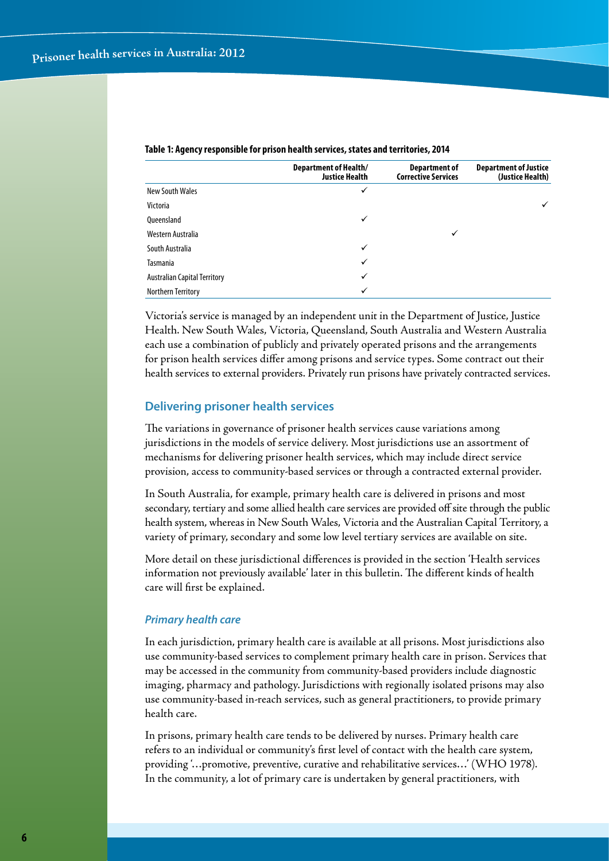|                                     | <b>Department of Health/</b><br><b>Justice Health</b> | Department of<br><b>Corrective Services</b> | <b>Department of Justice</b><br>(Justice Health) |
|-------------------------------------|-------------------------------------------------------|---------------------------------------------|--------------------------------------------------|
| <b>New South Wales</b>              | ✓                                                     |                                             |                                                  |
| Victoria                            |                                                       |                                             |                                                  |
| <b>Oueensland</b>                   | ✓                                                     |                                             |                                                  |
| Western Australia                   |                                                       | ✓                                           |                                                  |
| South Australia                     | $\checkmark$                                          |                                             |                                                  |
| Tasmania                            | $\checkmark$                                          |                                             |                                                  |
| <b>Australian Capital Territory</b> | ✓                                                     |                                             |                                                  |
| Northern Territory                  | ✓                                                     |                                             |                                                  |

#### **Table 1: Agency responsible for prison health services, states and territories, 2014**

Victoria's service is managed by an independent unit in the Department of Justice, Justice Health. New South Wales, Victoria, Queensland, South Australia and Western Australia each use a combination of publicly and privately operated prisons and the arrangements for prison health services differ among prisons and service types. Some contract out their health services to external providers. Privately run prisons have privately contracted services.

#### **Delivering prisoner health services**

The variations in governance of prisoner health services cause variations among jurisdictions in the models of service delivery. Most jurisdictions use an assortment of mechanisms for delivering prisoner health services, which may include direct service provision, access to community-based services or through a contracted external provider.

In South Australia, for example, primary health care is delivered in prisons and most secondary, tertiary and some allied health care services are provided off site through the public health system, whereas in New South Wales, Victoria and the Australian Capital Territory, a variety of primary, secondary and some low level tertiary services are available on site.

More detail on these jurisdictional differences is provided in the section 'Health services information not previously available' later in this bulletin. The different kinds of health care will first be explained.

#### *Primary health care*

In each jurisdiction, primary health care is available at all prisons. Most jurisdictions also use community-based services to complement primary health care in prison. Services that may be accessed in the community from community-based providers include diagnostic imaging, pharmacy and pathology. Jurisdictions with regionally isolated prisons may also use community-based in-reach services, such as general practitioners, to provide primary health care.

In prisons, primary health care tends to be delivered by nurses. Primary health care refers to an individual or community's first level of contact with the health care system, providing '…promotive, preventive, curative and rehabilitative services…' (WHO 1978). In the community, a lot of primary care is undertaken by general practitioners, with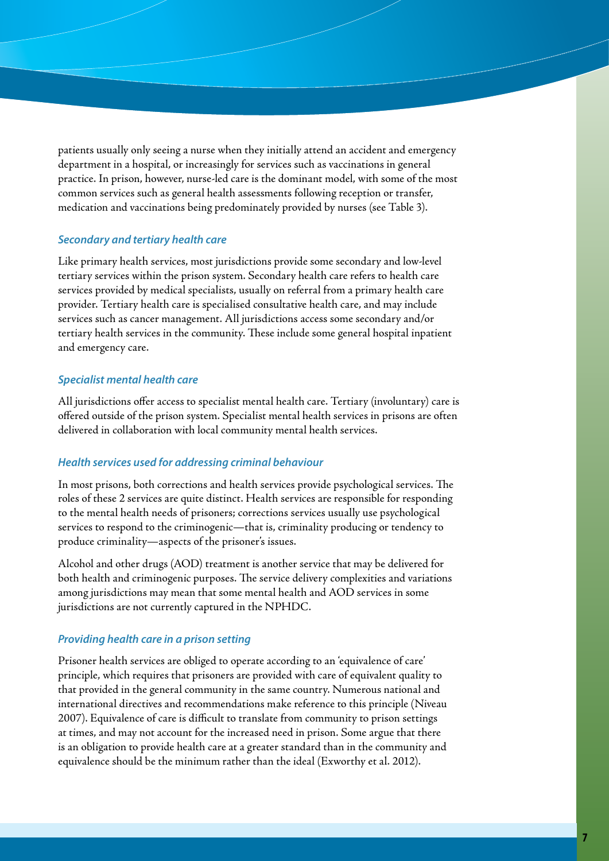patients usually only seeing a nurse when they initially attend an accident and emergency department in a hospital, or increasingly for services such as vaccinations in general practice. In prison, however, nurse-led care is the dominant model, with some of the most common services such as general health assessments following reception or transfer, medication and vaccinations being predominately provided by nurses (see Table 3).

#### *Secondary and tertiary health care*

Like primary health services, most jurisdictions provide some secondary and low-level tertiary services within the prison system. Secondary health care refers to health care services provided by medical specialists, usually on referral from a primary health care provider. Tertiary health care is specialised consultative health care, and may include services such as cancer management. All jurisdictions access some secondary and/or tertiary health services in the community. These include some general hospital inpatient and emergency care.

#### *Specialist mental health care*

All jurisdictions offer access to specialist mental health care. Tertiary (involuntary) care is offered outside of the prison system. Specialist mental health services in prisons are often delivered in collaboration with local community mental health services.

#### *Health services used for addressing criminal behaviour*

In most prisons, both corrections and health services provide psychological services. The roles of these 2 services are quite distinct. Health services are responsible for responding to the mental health needs of prisoners; corrections services usually use psychological services to respond to the criminogenic—that is, criminality producing or tendency to produce criminality—aspects of the prisoner's issues.

Alcohol and other drugs (AOD) treatment is another service that may be delivered for both health and criminogenic purposes. The service delivery complexities and variations among jurisdictions may mean that some mental health and AOD services in some jurisdictions are not currently captured in the NPHDC.

#### *Providing health care in a prison setting*

Prisoner health services are obliged to operate according to an 'equivalence of care' principle, which requires that prisoners are provided with care of equivalent quality to that provided in the general community in the same country. Numerous national and international directives and recommendations make reference to this principle (Niveau 2007). Equivalence of care is difficult to translate from community to prison settings at times, and may not account for the increased need in prison. Some argue that there is an obligation to provide health care at a greater standard than in the community and equivalence should be the minimum rather than the ideal (Exworthy et al. 2012).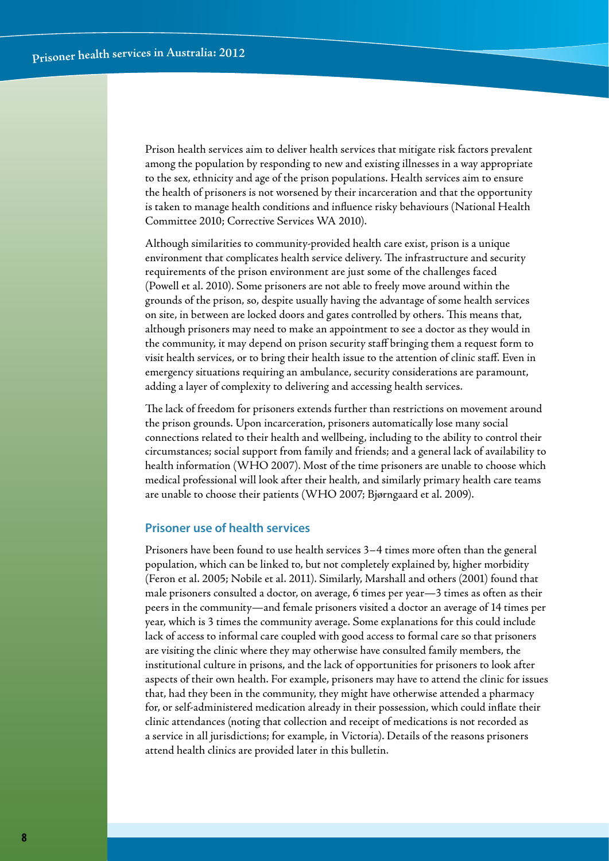Prison health services aim to deliver health services that mitigate risk factors prevalent among the population by responding to new and existing illnesses in a way appropriate to the sex, ethnicity and age of the prison populations. Health services aim to ensure the health of prisoners is not worsened by their incarceration and that the opportunity is taken to manage health conditions and influence risky behaviours (National Health Committee 2010; Corrective Services WA 2010).

Although similarities to community-provided health care exist, prison is a unique environment that complicates health service delivery. The infrastructure and security requirements of the prison environment are just some of the challenges faced (Powell et al. 2010). Some prisoners are not able to freely move around within the grounds of the prison, so, despite usually having the advantage of some health services on site, in between are locked doors and gates controlled by others. This means that, although prisoners may need to make an appointment to see a doctor as they would in the community, it may depend on prison security staff bringing them a request form to visit health services, or to bring their health issue to the attention of clinic staff. Even in emergency situations requiring an ambulance, security considerations are paramount, adding a layer of complexity to delivering and accessing health services.

The lack of freedom for prisoners extends further than restrictions on movement around the prison grounds. Upon incarceration, prisoners automatically lose many social connections related to their health and wellbeing, including to the ability to control their circumstances; social support from family and friends; and a general lack of availability to health information (WHO 2007). Most of the time prisoners are unable to choose which medical professional will look after their health, and similarly primary health care teams are unable to choose their patients (WHO 2007; Bjørngaard et al. 2009).

#### **Prisoner use of health services**

Prisoners have been found to use health services 3–4 times more often than the general population, which can be linked to, but not completely explained by, higher morbidity (Feron et al. 2005; Nobile et al. 2011). Similarly, Marshall and others (2001) found that male prisoners consulted a doctor, on average, 6 times per year—3 times as often as their peers in the community—and female prisoners visited a doctor an average of 14 times per year, which is 3 times the community average. Some explanations for this could include lack of access to informal care coupled with good access to formal care so that prisoners are visiting the clinic where they may otherwise have consulted family members, the institutional culture in prisons, and the lack of opportunities for prisoners to look after aspects of their own health. For example, prisoners may have to attend the clinic for issues that, had they been in the community, they might have otherwise attended a pharmacy for, or self-administered medication already in their possession, which could inflate their clinic attendances (noting that collection and receipt of medications is not recorded as a service in all jurisdictions; for example, in Victoria). Details of the reasons prisoners attend health clinics are provided later in this bulletin.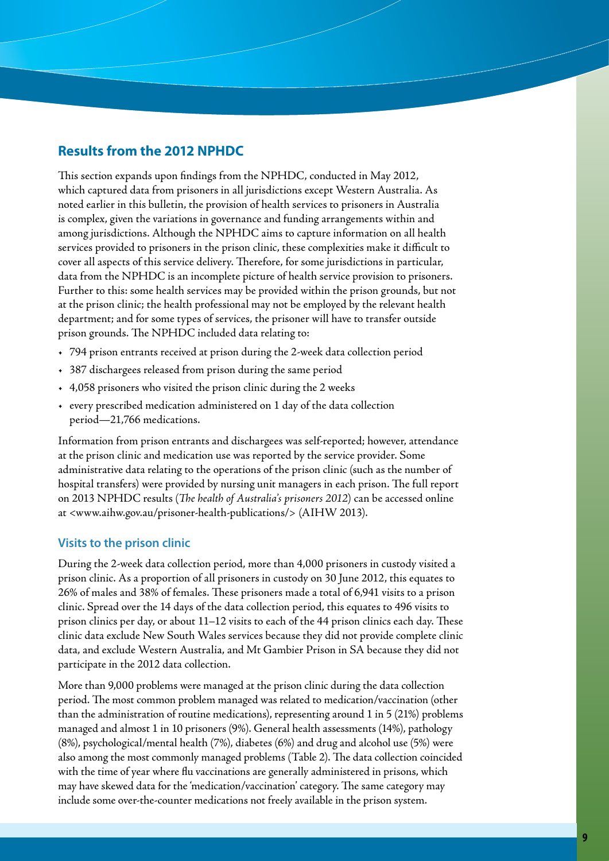# **Results from the 2012 NPHDC**

This section expands upon findings from the NPHDC, conducted in May 2012, which captured data from prisoners in all jurisdictions except Western Australia. As noted earlier in this bulletin, the provision of health services to prisoners in Australia is complex, given the variations in governance and funding arrangements within and among jurisdictions. Although the NPHDC aims to capture information on all health services provided to prisoners in the prison clinic, these complexities make it difficult to cover all aspects of this service delivery. Therefore, for some jurisdictions in particular, data from the NPHDC is an incomplete picture of health service provision to prisoners. Further to this: some health services may be provided within the prison grounds, but not at the prison clinic; the health professional may not be employed by the relevant health department; and for some types of services, the prisoner will have to transfer outside prison grounds. The NPHDC included data relating to:

- • 794 prison entrants received at prison during the 2-week data collection period
- • 387 dischargees released from prison during the same period
- • 4,058 prisoners who visited the prison clinic during the 2 weeks
- • every prescribed medication administered on 1 day of the data collection period—21,766 medications.

Information from prison entrants and dischargees was self-reported; however, attendance at the prison clinic and medication use was reported by the service provider. Some administrative data relating to the operations of the prison clinic (such as the number of hospital transfers) were provided by nursing unit managers in each prison. The full report on 2013 NPHDC results (*The health of Australia's prisoners 2012*) can be accessed online at <www.aihw.gov.au/prisoner-health-publications/> (AIHW 2013).

## **Visits to the prison clinic**

During the 2-week data collection period, more than 4,000 prisoners in custody visited a prison clinic. As a proportion of all prisoners in custody on 30 June 2012, this equates to 26% of males and 38% of females. These prisoners made a total of 6,941 visits to a prison clinic. Spread over the 14 days of the data collection period, this equates to 496 visits to prison clinics per day, or about 11–12 visits to each of the 44 prison clinics each day. These clinic data exclude New South Wales services because they did not provide complete clinic data, and exclude Western Australia, and Mt Gambier Prison in SA because they did not participate in the 2012 data collection.

More than 9,000 problems were managed at the prison clinic during the data collection period. The most common problem managed was related to medication/vaccination (other than the administration of routine medications), representing around 1 in 5 (21%) problems managed and almost 1 in 10 prisoners (9%). General health assessments (14%), pathology (8%), psychological/mental health (7%), diabetes (6%) and drug and alcohol use (5%) were also among the most commonly managed problems (Table 2). The data collection coincided with the time of year where flu vaccinations are generally administered in prisons, which may have skewed data for the 'medication/vaccination' category. The same category may include some over-the-counter medications not freely available in the prison system.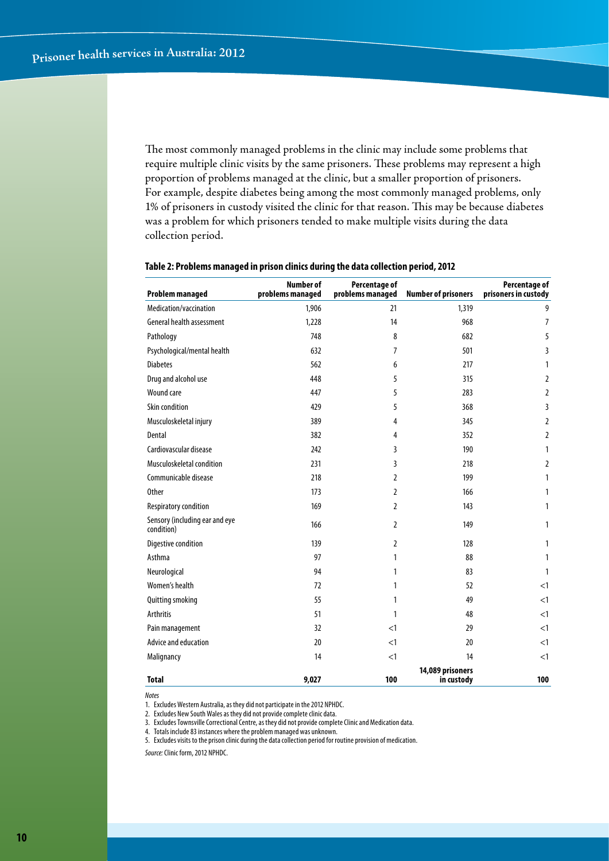The most commonly managed problems in the clinic may include some problems that require multiple clinic visits by the same prisoners. These problems may represent a high proportion of problems managed at the clinic, but a smaller proportion of prisoners. For example, despite diabetes being among the most commonly managed problems, only 1% of prisoners in custody visited the clinic for that reason. This may be because diabetes was a problem for which prisoners tended to make multiple visits during the data collection period.

| <b>Problem managed</b>                       | <b>Number of</b><br>problems managed | Percentage of<br>problems managed | <b>Number of prisoners</b>     | Percentage of<br>prisoners in custody |
|----------------------------------------------|--------------------------------------|-----------------------------------|--------------------------------|---------------------------------------|
| Medication/vaccination                       | 1,906                                | 21                                | 1,319                          | 9                                     |
| General health assessment                    | 1,228                                | 14                                | 968                            | $\overline{7}$                        |
| Pathology                                    | 748                                  | 8                                 | 682                            | 5                                     |
| Psychological/mental health                  | 632                                  | $\overline{7}$                    | 501                            | 3                                     |
| <b>Diabetes</b>                              | 562                                  | 6                                 | 217                            | $\mathbf{1}$                          |
| Drug and alcohol use                         | 448                                  | 5                                 | 315                            | $\overline{2}$                        |
| <b>Wound care</b>                            | 447                                  | 5                                 | 283                            | $\overline{2}$                        |
| Skin condition                               | 429                                  | 5                                 | 368                            | 3                                     |
| Musculoskeletal injury                       | 389                                  | 4                                 | 345                            | $\overline{2}$                        |
| Dental                                       | 382                                  | 4                                 | 352                            | $\overline{2}$                        |
| Cardiovascular disease                       | 242                                  | 3                                 | 190                            | 1                                     |
| Musculoskeletal condition                    | 231                                  | 3                                 | 218                            | $\overline{2}$                        |
| Communicable disease                         | 218                                  | 2                                 | 199                            | 1                                     |
| <b>Other</b>                                 | 173                                  | 2                                 | 166                            | 1                                     |
| Respiratory condition                        | 169                                  | 2                                 | 143                            | $\mathbf{1}$                          |
| Sensory (including ear and eye<br>condition) | 166                                  | 2                                 | 149                            | 1                                     |
| Digestive condition                          | 139                                  | 2                                 | 128                            | 1                                     |
| Asthma                                       | 97                                   | 1                                 | 88                             | 1                                     |
| Neurological                                 | 94                                   | 1                                 | 83                             | $\mathbf{1}$                          |
| Women's health                               | 72                                   | 1                                 | 52                             | <1                                    |
| Quitting smoking                             | 55                                   | 1                                 | 49                             | <1                                    |
| <b>Arthritis</b>                             | 51                                   | 1                                 | 48                             | <1                                    |
| Pain management                              | 32                                   | <1                                | 29                             | <1                                    |
| Advice and education                         | 20                                   | <1                                | 20                             | <1                                    |
| Malignancy                                   | 14                                   | <1                                | 14                             | <1                                    |
| <b>Total</b>                                 | 9,027                                | 100                               | 14,089 prisoners<br>in custody | 100                                   |

#### **Table 2: Problems managed in prison clinics during the data collection period, 2012**

*Notes*

1. Excludes Western Australia, as they did not participate in the 2012 NPHDC.

2. Excludes New South Wales as they did not provide complete clinic data.

3. Excludes Townsville Correctional Centre, as they did not provide complete Clinic and Medication data.

4. Totals include 83 instances where the problem managed was unknown.

5. Excludes visits to the prison clinic during the data collection period for routine provision of medication.

*Source:* Clinic form, 2012 NPHDC.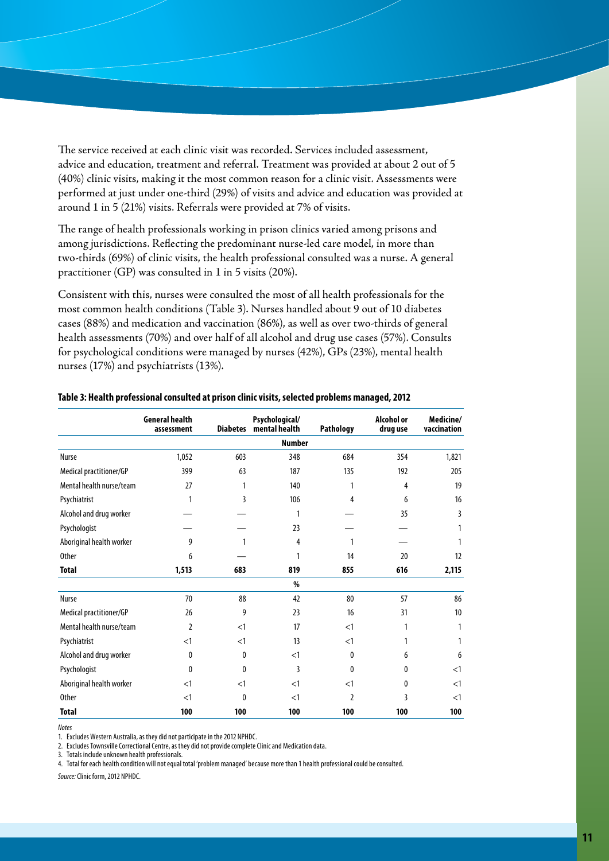The service received at each clinic visit was recorded. Services included assessment, advice and education, treatment and referral. Treatment was provided at about 2 out of 5 (40%) clinic visits, making it the most common reason for a clinic visit. Assessments were performed at just under one-third (29%) of visits and advice and education was provided at around 1 in 5 (21%) visits. Referrals were provided at 7% of visits.

The range of health professionals working in prison clinics varied among prisons and among jurisdictions. Reflecting the predominant nurse-led care model, in more than two-thirds (69%) of clinic visits, the health professional consulted was a nurse. A general practitioner (GP) was consulted in 1 in 5 visits (20%).

Consistent with this, nurses were consulted the most of all health professionals for the most common health conditions (Table 3). Nurses handled about 9 out of 10 diabetes cases (88%) and medication and vaccination (86%), as well as over two-thirds of general health assessments (70%) and over half of all alcohol and drug use cases (57%). Consults for psychological conditions were managed by nurses (42%), GPs (23%), mental health nurses (17%) and psychiatrists (13%).

|                          | <b>General health</b><br>assessment | <b>Diabetes</b> | Psychological/<br>mental health | <b>Pathology</b> | <b>Alcohol or</b><br>drug use | Medicine/<br>vaccination |
|--------------------------|-------------------------------------|-----------------|---------------------------------|------------------|-------------------------------|--------------------------|
|                          |                                     |                 | <b>Number</b>                   |                  |                               |                          |
| Nurse                    | 1,052                               | 603             | 348                             | 684              | 354                           | 1,821                    |
| Medical practitioner/GP  | 399                                 | 63              | 187                             | 135              | 192                           | 205                      |
| Mental health nurse/team | 27                                  | 1               | 140                             | 1                | 4                             | 19                       |
| Psychiatrist             | 1                                   | 3               | 106                             | 4                | 6                             | 16                       |
| Alcohol and drug worker  |                                     |                 | 1                               |                  | 35                            | 3                        |
| Psychologist             |                                     |                 | 23                              |                  |                               |                          |
| Aboriginal health worker | 9                                   |                 | 4                               | 1                |                               |                          |
| <b>Other</b>             | 6                                   |                 | 1                               | 14               | 20                            | 12                       |
| <b>Total</b>             | 1,513                               | 683             | 819                             | 855              | 616                           | 2,115                    |
|                          |                                     |                 | %                               |                  |                               |                          |
| <b>Nurse</b>             | 70                                  | 88              | 42                              | 80               | 57                            | 86                       |
| Medical practitioner/GP  | 26                                  | 9               | 23                              | 16               | 31                            | 10                       |
| Mental health nurse/team | $\overline{2}$                      | $<$ 1           | 17                              | $<$ 1            | 1                             | 1                        |
| Psychiatrist             | <1                                  | $<$ 1           | 13                              | $<$ 1            |                               |                          |
| Alcohol and drug worker  | 0                                   | $\mathbf{0}$    | <1                              | 0                | 6                             | 6                        |
| Psychologist             | $\theta$                            | $\mathbf{0}$    | 3                               | 0                | 0                             | $<$ 1                    |
| Aboriginal health worker | $<$ 1                               | $<$ 1           | $<$ 1                           | $<$ 1            | 0                             | $<$ 1                    |
| <b>Other</b>             | <1                                  | $\mathbf{0}$    | $<$ 1                           | $\overline{2}$   | 3                             | $<$ 1                    |
| <b>Total</b>             | 100                                 | 100             | 100                             | 100              | 100                           | 100                      |

#### **Table 3: Health professional consulted at prison clinic visits, selected problems managed, 2012**

*Notes*

1. Excludes Western Australia, as they did not participate in the 2012 NPHDC.

2. Excludes Townsville Correctional Centre, as they did not provide complete Clinic and Medication data.

3. Totals include unknown health professionals.

4. Total for each health condition will not equal total 'problem managed' because more than 1 health professional could be consulted.

*Source:* Clinic form, 2012 NPHDC.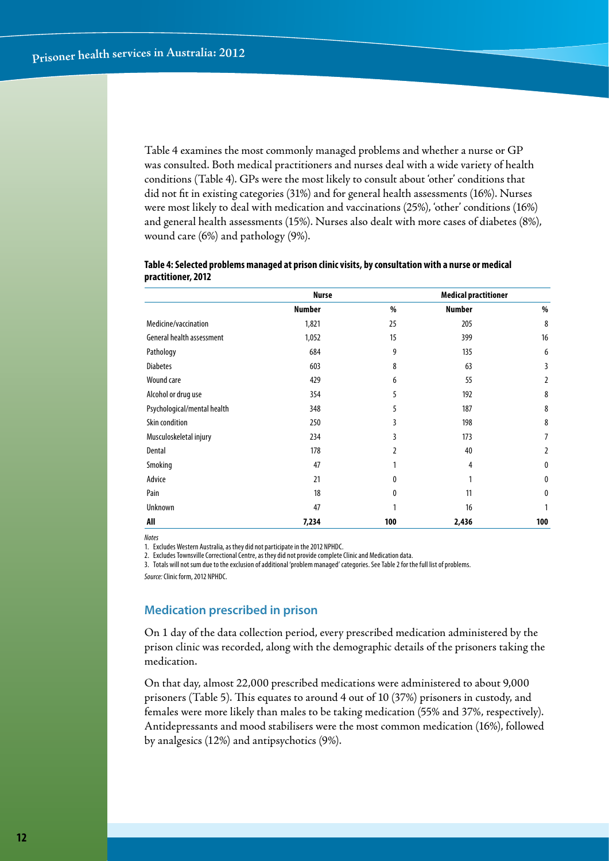Table 4 examines the most commonly managed problems and whether a nurse or GP was consulted. Both medical practitioners and nurses deal with a wide variety of health conditions (Table 4). GPs were the most likely to consult about 'other' conditions that did not fit in existing categories (31%) and for general health assessments (16%). Nurses were most likely to deal with medication and vaccinations (25%), 'other' conditions (16%) and general health assessments (15%). Nurses also dealt with more cases of diabetes (8%), wound care (6%) and pathology (9%).

|                             | <b>Nurse</b>  |     | <b>Medical practitioner</b> |                |
|-----------------------------|---------------|-----|-----------------------------|----------------|
|                             | <b>Number</b> | %   | <b>Number</b>               | %              |
| Medicine/vaccination        | 1,821         | 25  | 205                         | 8              |
| General health assessment   | 1,052         | 15  | 399                         | 16             |
| Pathology                   | 684           | 9   | 135                         | 6              |
| <b>Diabetes</b>             | 603           | 8   | 63                          | 3              |
| Wound care                  | 429           | 6   | 55                          | 2              |
| Alcohol or drug use         | 354           | 5   | 192                         | 8              |
| Psychological/mental health | 348           | 5   | 187                         | 8              |
| Skin condition              | 250           | 3   | 198                         | 8              |
| Musculoskeletal injury      | 234           | 3   | 173                         | 7              |
| Dental                      | 178           | 2   | 40                          | $\overline{2}$ |
| Smoking                     | 47            | 1   | 4                           | $\mathbf{0}$   |
| Advice                      | 21            | 0   | 1                           | $\mathbf{0}$   |
| Pain                        | 18            | 0   | 11                          | $\mathbf{0}$   |
| Unknown                     | 47            | 1   | 16                          |                |
| All                         | 7,234         | 100 | 2,436                       | 100            |

#### **Table 4: Selected problems managed at prison clinic visits, by consultation with a nurse or medical practitioner, 2012**

*Notes*

1. Excludes Western Australia, as they did not participate in the 2012 NPHDC.

2. Excludes Townsville Correctional Centre, as they did not provide complete Clinic and Medication data.

3. Totals will not sum due to the exclusion of additional 'problem managed' categories. See Table 2 for the full list of problems.

*Source:* Clinic form, 2012 NPHDC.

# **Medication prescribed in prison**

On 1 day of the data collection period, every prescribed medication administered by the prison clinic was recorded, along with the demographic details of the prisoners taking the medication.

On that day, almost 22,000 prescribed medications were administered to about 9,000 prisoners (Table 5). This equates to around 4 out of 10 (37%) prisoners in custody, and females were more likely than males to be taking medication (55% and 37%, respectively). Antidepressants and mood stabilisers were the most common medication (16%), followed by analgesics (12%) and antipsychotics (9%).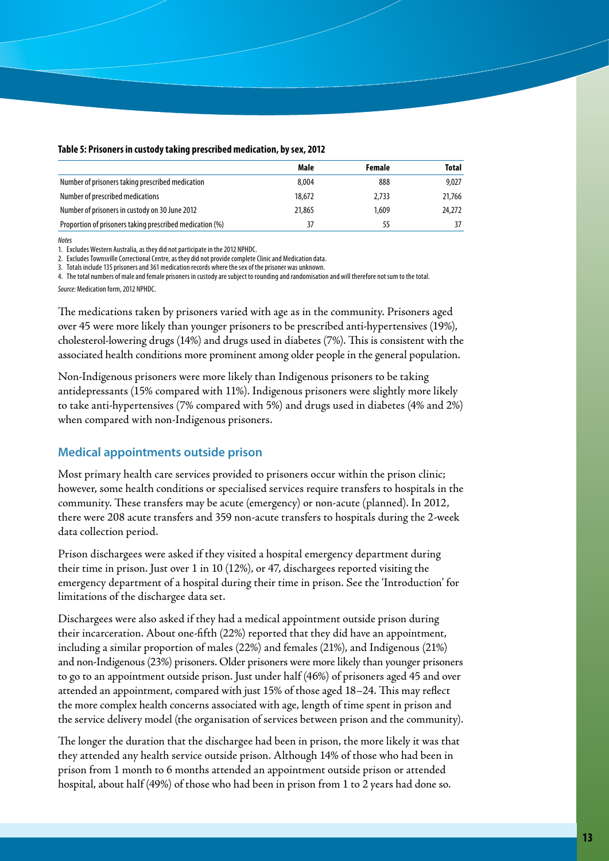| Table 5: Prisoners in custody taking prescribed medication, by sex, 2012 |  |  |  |
|--------------------------------------------------------------------------|--|--|--|
|--------------------------------------------------------------------------|--|--|--|

|                                                          | Male   | Female | Total  |
|----------------------------------------------------------|--------|--------|--------|
| Number of prisoners taking prescribed medication         | 8,004  | 888    | 9,027  |
| Number of prescribed medications                         | 18,672 | 2.733  | 21,766 |
| Number of prisoners in custody on 30 June 2012           | 21,865 | 1.609  | 24,272 |
| Proportion of prisoners taking prescribed medication (%) | 37     | 55     | 37     |

*Notes*

1. Excludes Western Australia, as they did not participate in the 2012 NPHDC.

2. Excludes Townsville Correctional Centre, as they did not provide complete Clinic and Medication data.

3. Totals include 135 prisoners and 361 medication records where the sex of the prisoner was unknown.

4. The total numbers of male and female prisoners in custody are subject to rounding and randomisation and will therefore not sum to the total.

*Source:* Medication form, 2012 NPHDC.

The medications taken by prisoners varied with age as in the community. Prisoners aged over 45 were more likely than younger prisoners to be prescribed anti-hypertensives (19%), cholesterol-lowering drugs (14%) and drugs used in diabetes (7%). This is consistent with the associated health conditions more prominent among older people in the general population.

Non-Indigenous prisoners were more likely than Indigenous prisoners to be taking antidepressants (15% compared with 11%). Indigenous prisoners were slightly more likely to take anti-hypertensives (7% compared with 5%) and drugs used in diabetes (4% and 2%) when compared with non-Indigenous prisoners.

#### **Medical appointments outside prison**

Most primary health care services provided to prisoners occur within the prison clinic; however, some health conditions or specialised services require transfers to hospitals in the community. These transfers may be acute (emergency) or non-acute (planned). In 2012, there were 208 acute transfers and 359 non-acute transfers to hospitals during the 2-week data collection period.

Prison dischargees were asked if they visited a hospital emergency department during their time in prison. Just over 1 in 10 (12%), or 47, dischargees reported visiting the emergency department of a hospital during their time in prison. See the 'Introduction' for limitations of the dischargee data set.

Dischargees were also asked if they had a medical appointment outside prison during their incarceration. About one-fifth (22%) reported that they did have an appointment, including a similar proportion of males (22%) and females (21%), and Indigenous (21%) and non-Indigenous (23%) prisoners. Older prisoners were more likely than younger prisoners to go to an appointment outside prison. Just under half (46%) of prisoners aged 45 and over attended an appointment, compared with just 15% of those aged 18–24. This may reflect the more complex health concerns associated with age, length of time spent in prison and the service delivery model (the organisation of services between prison and the community).

The longer the duration that the dischargee had been in prison, the more likely it was that they attended any health service outside prison. Although 14% of those who had been in prison from 1 month to 6 months attended an appointment outside prison or attended hospital, about half (49%) of those who had been in prison from 1 to 2 years had done so.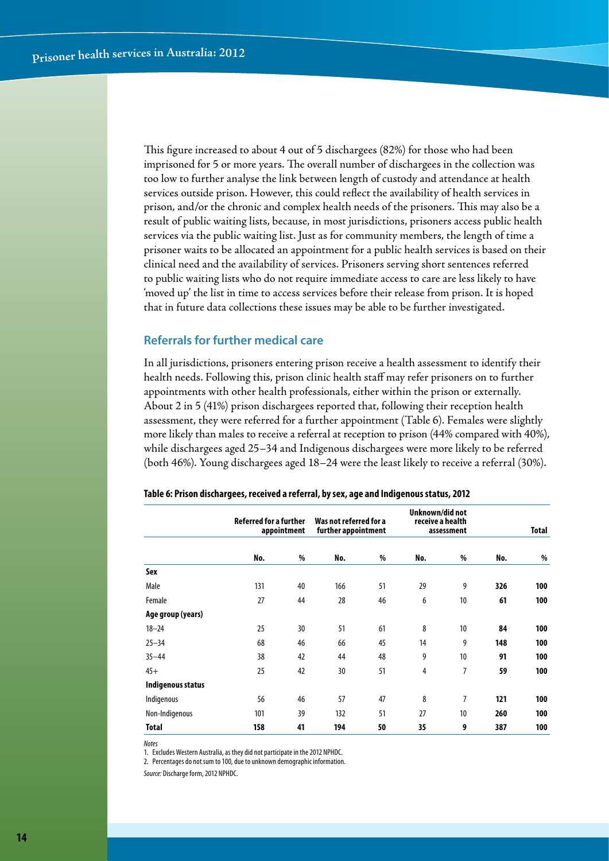This figure increased to about 4 out of 5 dischargees (82%) for those who had been imprisoned for 5 or more years. The overall number of dischargees in the collection was too low to further analyse the link between length of custody and attendance at health services outside prison. However, this could reflect the availability of health services in prison, and/or the chronic and complex health needs of the prisoners. This may also be a result of public waiting lists, because, in most jurisdictions, prisoners access public health services via the public waiting list. Just as for community members, the length of time a prisoner waits to be allocated an appointment for a public health services is based on their clinical need and the availability of services. Prisoners serving short sentences referred to public waiting lists who do not require immediate access to care are less likely to have 'moved up' the list in time to access services before their release from prison. It is hoped that in future data collections these issues may be able to be further investigated.

#### **Referrals for further medical care**

In all jurisdictions, prisoners entering prison receive a health assessment to identify their health needs. Following this, prison clinic health staff may refer prisoners on to further appointments with other health professionals, either within the prison or externally. About 2 in 5 (41%) prison dischargees reported that, following their reception health assessment, they were referred for a further appointment (Table 6). Females were slightly more likely than males to receive a referral at reception to prison (44% compared with 40%), while dischargees aged 25–34 and Indigenous dischargees were more likely to be referred (both 46%). Young dischargees aged 18–24 were the least likely to receive a referral (30%).

|                   | Referred for a further<br>appointment |    | Was not referred for a<br>further appointment |    | Unknown/did not<br>receive a health | assessment |     | <b>Total</b> |
|-------------------|---------------------------------------|----|-----------------------------------------------|----|-------------------------------------|------------|-----|--------------|
|                   | No.                                   | %  | No.                                           | %  | No.                                 | %          | No. | %            |
| Sex               |                                       |    |                                               |    |                                     |            |     |              |
| Male              | 131                                   | 40 | 166                                           | 51 | 29                                  | 9          | 326 | 100          |
| Female            | 27                                    | 44 | 28                                            | 46 | 6                                   | 10         | 61  | 100          |
| Age group (years) |                                       |    |                                               |    |                                     |            |     |              |
| $18 - 24$         | 25                                    | 30 | 51                                            | 61 | 8                                   | 10         | 84  | 100          |
| $25 - 34$         | 68                                    | 46 | 66                                            | 45 | 14                                  | 9          | 148 | 100          |
| $35 - 44$         | 38                                    | 42 | 44                                            | 48 | 9                                   | 10         | 91  | 100          |
| $45+$             | 25                                    | 42 | 30                                            | 51 | 4                                   | 7          | 59  | 100          |
| Indigenous status |                                       |    |                                               |    |                                     |            |     |              |
| Indigenous        | 56                                    | 46 | 57                                            | 47 | 8                                   | 7          | 121 | 100          |
| Non-Indigenous    | 101                                   | 39 | 132                                           | 51 | 27                                  | 10         | 260 | 100          |
| Total             | 158                                   | 41 | 194                                           | 50 | 35                                  | 9          | 387 | 100          |

#### **Table 6: Prison dischargees, received a referral, by sex, age and Indigenous status, 2012**

*Notes*

1. Excludes Western Australia, as they did not participate in the 2012 NPHDC.

2. Percentages do not sum to 100, due to unknown demographic information.

*Source:* Discharge form, 2012 NPHDC.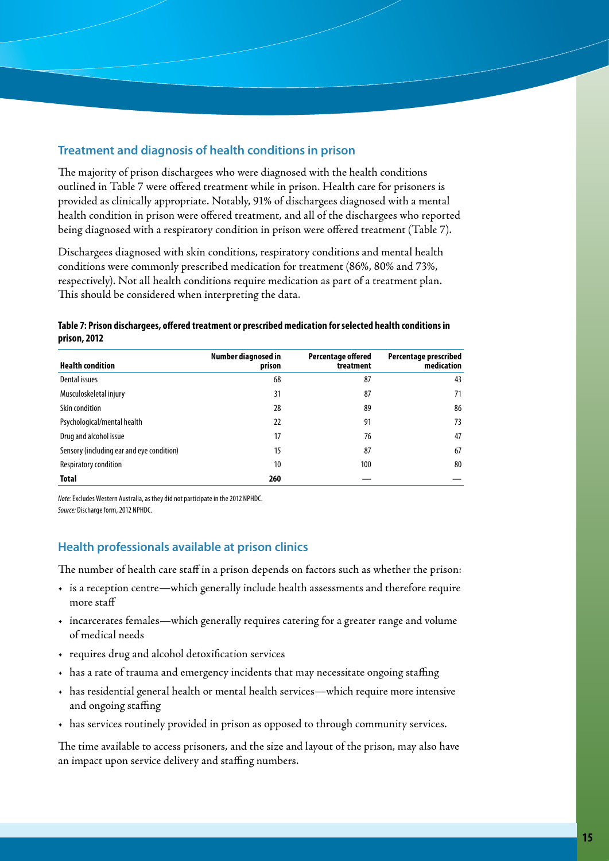## **Treatment and diagnosis of health conditions in prison**

The majority of prison dischargees who were diagnosed with the health conditions outlined in Table 7 were offered treatment while in prison. Health care for prisoners is provided as clinically appropriate. Notably, 91% of dischargees diagnosed with a mental health condition in prison were offered treatment, and all of the dischargees who reported being diagnosed with a respiratory condition in prison were offered treatment (Table 7).

Dischargees diagnosed with skin conditions, respiratory conditions and mental health conditions were commonly prescribed medication for treatment (86%, 80% and 73%, respectively). Not all health conditions require medication as part of a treatment plan. This should be considered when interpreting the data.

| Table 7: Prison dischargees, offered treatment or prescribed medication for selected health conditions in |  |
|-----------------------------------------------------------------------------------------------------------|--|
| prison, 2012                                                                                              |  |

| <b>Health condition</b>                   | Number diagnosed in<br>prison | <b>Percentage offered</b><br>treatment | Percentage prescribed<br>medication |
|-------------------------------------------|-------------------------------|----------------------------------------|-------------------------------------|
| Dental issues                             | 68                            | 87                                     | 43                                  |
| Musculoskeletal injury                    | 31                            | 87                                     | 71                                  |
| Skin condition                            | 28                            | 89                                     | 86                                  |
| Psychological/mental health               | 22                            | 91                                     | 73                                  |
| Drug and alcohol issue                    | 17                            | 76                                     | 47                                  |
| Sensory (including ear and eye condition) | 15                            | 87                                     | 67                                  |
| Respiratory condition                     | 10                            | 100                                    | 80                                  |
| <b>Total</b>                              | 260                           |                                        |                                     |

*Note:* Excludes Western Australia, as they did not participate in the 2012 NPHDC. *Source:* Discharge form, 2012 NPHDC.

# **Health professionals available at prison clinics**

The number of health care staff in a prison depends on factors such as whether the prison:

- • is a reception centre—which generally include health assessments and therefore require more staff
- • incarcerates females—which generally requires catering for a greater range and volume of medical needs
- • requires drug and alcohol detoxification services
- has a rate of trauma and emergency incidents that may necessitate ongoing staffing
- • has residential general health or mental health services—which require more intensive and ongoing staffing
- • has services routinely provided in prison as opposed to through community services.

The time available to access prisoners, and the size and layout of the prison, may also have an impact upon service delivery and staffing numbers.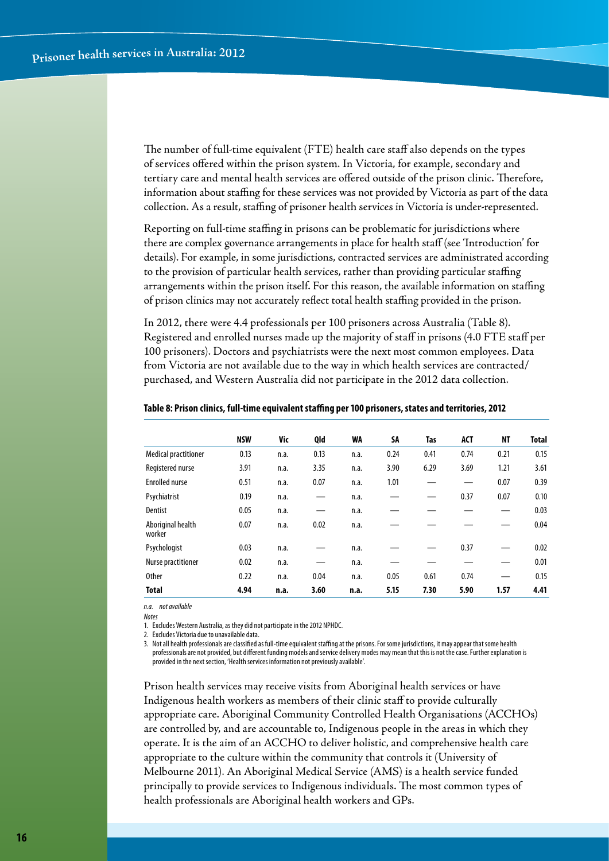The number of full-time equivalent (FTE) health care staff also depends on the types of services offered within the prison system. In Victoria, for example, secondary and tertiary care and mental health services are offered outside of the prison clinic. Therefore, information about staffing for these services was not provided by Victoria as part of the data collection. As a result, staffing of prisoner health services in Victoria is under-represented.

Reporting on full-time staffing in prisons can be problematic for jurisdictions where there are complex governance arrangements in place for health staff (see 'Introduction' for details). For example, in some jurisdictions, contracted services are administrated according to the provision of particular health services, rather than providing particular staffing arrangements within the prison itself. For this reason, the available information on staffing of prison clinics may not accurately reflect total health staffing provided in the prison.

In 2012, there were 4.4 professionals per 100 prisoners across Australia (Table 8). Registered and enrolled nurses made up the majority of staff in prisons (4.0 FTE staff per 100 prisoners). Doctors and psychiatrists were the next most common employees. Data from Victoria are not available due to the way in which health services are contracted/ purchased, and Western Australia did not participate in the 2012 data collection.

|                             | <b>NSW</b> | Vic  | Qld  | WA   | SA   | Tas  | <b>ACT</b> | ΝT   | <b>Total</b> |
|-----------------------------|------------|------|------|------|------|------|------------|------|--------------|
| <b>Medical practitioner</b> | 0.13       | n.a. | 0.13 | n.a. | 0.24 | 0.41 | 0.74       | 0.21 | 0.15         |
| Registered nurse            | 3.91       | n.a. | 3.35 | n.a. | 3.90 | 6.29 | 3.69       | 1.21 | 3.61         |
| <b>Enrolled nurse</b>       | 0.51       | n.a. | 0.07 | n.a. | 1.01 |      | —          | 0.07 | 0.39         |
| Psychiatrist                | 0.19       | n.a. |      | n.a. |      |      | 0.37       | 0.07 | 0.10         |
| Dentist                     | 0.05       | n.a. |      | n.a. |      |      |            |      | 0.03         |
| Aboriginal health<br>worker | 0.07       | n.a. | 0.02 | n.a. |      |      |            |      | 0.04         |
| Psychologist                | 0.03       | n.a. |      | n.a. |      |      | 0.37       |      | 0.02         |
| Nurse practitioner          | 0.02       | n.a. |      | n.a. |      |      |            |      | 0.01         |
| <b>Other</b>                | 0.22       | n.a. | 0.04 | n.a. | 0.05 | 0.61 | 0.74       |      | 0.15         |
| <b>Total</b>                | 4.94       | n.a. | 3.60 | n.a. | 5.15 | 7.30 | 5.90       | 1.57 | 4.41         |

#### **Table 8: Prison clinics, full-time equivalent staffing per 100 prisoners, states and territories, 2012**

*n.a. not available*

*Notes*

1. Excludes Western Australia, as they did not participate in the 2012 NPHDC.

2. Excludes Victoria due to unavailable data.

3. Not all health professionals are classified as full-time equivalent staffing at the prisons. For some jurisdictions, it may appear that some health professionals are not provided, but different funding models and service delivery modes may mean that this is not the case. Further explanation is provided in the next section, 'Health services information not previously available'.

Prison health services may receive visits from Aboriginal health services or have Indigenous health workers as members of their clinic staff to provide culturally appropriate care. Aboriginal Community Controlled Health Organisations (ACCHOs) are controlled by, and are accountable to, Indigenous people in the areas in which they operate. It is the aim of an ACCHO to deliver holistic, and comprehensive health care appropriate to the culture within the community that controls it (University of Melbourne 2011). An Aboriginal Medical Service (AMS) is a health service funded principally to provide services to Indigenous individuals. The most common types of health professionals are Aboriginal health workers and GPs.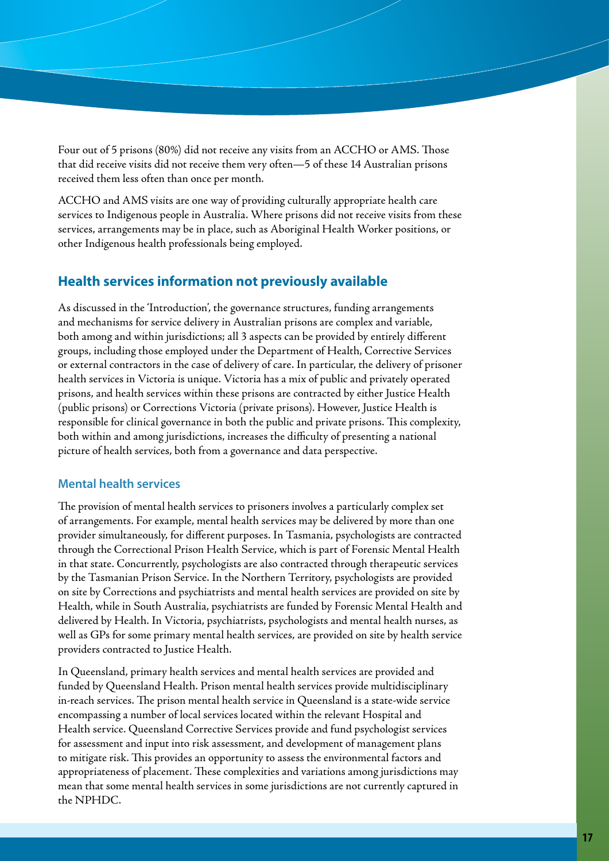Four out of 5 prisons (80%) did not receive any visits from an ACCHO or AMS. Those that did receive visits did not receive them very often—5 of these 14 Australian prisons received them less often than once per month.

ACCHO and AMS visits are one way of providing culturally appropriate health care services to Indigenous people in Australia. Where prisons did not receive visits from these services, arrangements may be in place, such as Aboriginal Health Worker positions, or other Indigenous health professionals being employed.

# **Health services information not previously available**

As discussed in the 'Introduction', the governance structures, funding arrangements and mechanisms for service delivery in Australian prisons are complex and variable, both among and within jurisdictions; all 3 aspects can be provided by entirely different groups, including those employed under the Department of Health, Corrective Services or external contractors in the case of delivery of care. In particular, the delivery of prisoner health services in Victoria is unique. Victoria has a mix of public and privately operated prisons, and health services within these prisons are contracted by either Justice Health (public prisons) or Corrections Victoria (private prisons). However, Justice Health is responsible for clinical governance in both the public and private prisons. This complexity, both within and among jurisdictions, increases the difficulty of presenting a national picture of health services, both from a governance and data perspective.

## **Mental health services**

The provision of mental health services to prisoners involves a particularly complex set of arrangements. For example, mental health services may be delivered by more than one provider simultaneously, for different purposes. In Tasmania, psychologists are contracted through the Correctional Prison Health Service, which is part of Forensic Mental Health in that state. Concurrently, psychologists are also contracted through therapeutic services by the Tasmanian Prison Service. In the Northern Territory, psychologists are provided on site by Corrections and psychiatrists and mental health services are provided on site by Health, while in South Australia, psychiatrists are funded by Forensic Mental Health and delivered by Health. In Victoria, psychiatrists, psychologists and mental health nurses, as well as GPs for some primary mental health services, are provided on site by health service providers contracted to Justice Health.

In Queensland, primary health services and mental health services are provided and funded by Queensland Health. Prison mental health services provide multidisciplinary in-reach services. The prison mental health service in Queensland is a state-wide service encompassing a number of local services located within the relevant Hospital and Health service. Queensland Corrective Services provide and fund psychologist services for assessment and input into risk assessment, and development of management plans to mitigate risk. This provides an opportunity to assess the environmental factors and appropriateness of placement. These complexities and variations among jurisdictions may mean that some mental health services in some jurisdictions are not currently captured in the NPHDC.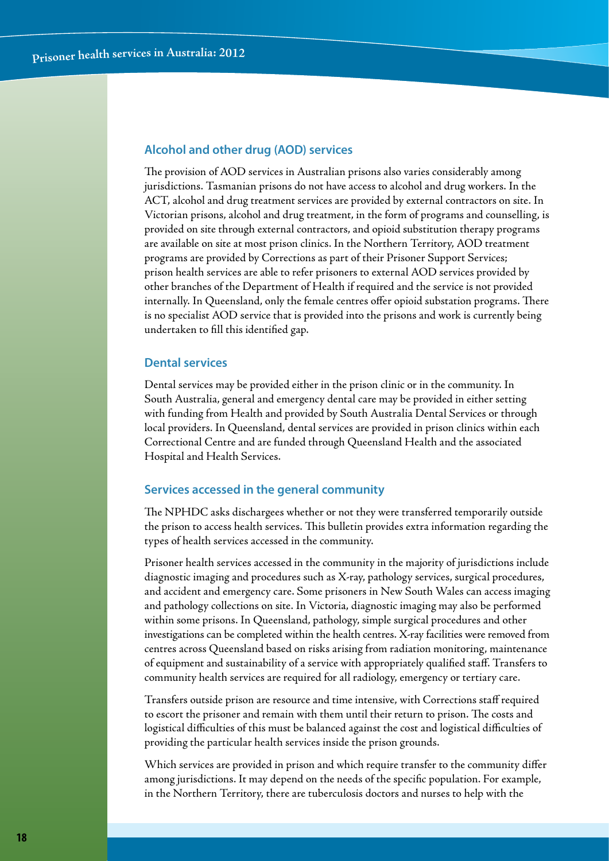#### **Alcohol and other drug (AOD) services**

The provision of AOD services in Australian prisons also varies considerably among jurisdictions. Tasmanian prisons do not have access to alcohol and drug workers. In the ACT, alcohol and drug treatment services are provided by external contractors on site. In Victorian prisons, alcohol and drug treatment, in the form of programs and counselling, is provided on site through external contractors, and opioid substitution therapy programs are available on site at most prison clinics. In the Northern Territory, AOD treatment programs are provided by Corrections as part of their Prisoner Support Services; prison health services are able to refer prisoners to external AOD services provided by other branches of the Department of Health if required and the service is not provided internally. In Queensland, only the female centres offer opioid substation programs. There is no specialist AOD service that is provided into the prisons and work is currently being undertaken to fill this identified gap.

## **Dental services**

Dental services may be provided either in the prison clinic or in the community. In South Australia, general and emergency dental care may be provided in either setting with funding from Health and provided by South Australia Dental Services or through local providers. In Queensland, dental services are provided in prison clinics within each Correctional Centre and are funded through Queensland Health and the associated Hospital and Health Services.

#### **Services accessed in the general community**

The NPHDC asks dischargees whether or not they were transferred temporarily outside the prison to access health services. This bulletin provides extra information regarding the types of health services accessed in the community.

Prisoner health services accessed in the community in the majority of jurisdictions include diagnostic imaging and procedures such as X-ray, pathology services, surgical procedures, and accident and emergency care. Some prisoners in New South Wales can access imaging and pathology collections on site. In Victoria, diagnostic imaging may also be performed within some prisons. In Queensland, pathology, simple surgical procedures and other investigations can be completed within the health centres. X-ray facilities were removed from centres across Queensland based on risks arising from radiation monitoring, maintenance of equipment and sustainability of a service with appropriately qualified staff. Transfers to community health services are required for all radiology, emergency or tertiary care.

Transfers outside prison are resource and time intensive, with Corrections staff required to escort the prisoner and remain with them until their return to prison. The costs and logistical difficulties of this must be balanced against the cost and logistical difficulties of providing the particular health services inside the prison grounds.

Which services are provided in prison and which require transfer to the community differ among jurisdictions. It may depend on the needs of the specific population. For example, in the Northern Territory, there are tuberculosis doctors and nurses to help with the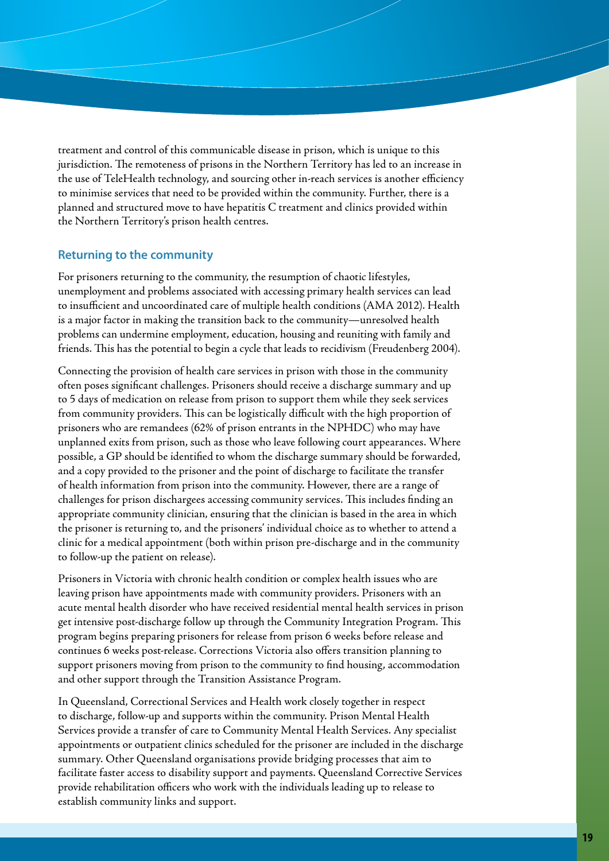treatment and control of this communicable disease in prison, which is unique to this jurisdiction. The remoteness of prisons in the Northern Territory has led to an increase in the use of TeleHealth technology, and sourcing other in-reach services is another efficiency to minimise services that need to be provided within the community. Further, there is a planned and structured move to have hepatitis C treatment and clinics provided within the Northern Territory's prison health centres.

## **Returning to the community**

For prisoners returning to the community, the resumption of chaotic lifestyles, unemployment and problems associated with accessing primary health services can lead to insufficient and uncoordinated care of multiple health conditions (AMA 2012). Health is a major factor in making the transition back to the community—unresolved health problems can undermine employment, education, housing and reuniting with family and friends. This has the potential to begin a cycle that leads to recidivism (Freudenberg 2004).

Connecting the provision of health care services in prison with those in the community often poses significant challenges. Prisoners should receive a discharge summary and up to 5 days of medication on release from prison to support them while they seek services from community providers. This can be logistically difficult with the high proportion of prisoners who are remandees (62% of prison entrants in the NPHDC) who may have unplanned exits from prison, such as those who leave following court appearances. Where possible, a GP should be identified to whom the discharge summary should be forwarded, and a copy provided to the prisoner and the point of discharge to facilitate the transfer of health information from prison into the community. However, there are a range of challenges for prison dischargees accessing community services. This includes finding an appropriate community clinician, ensuring that the clinician is based in the area in which the prisoner is returning to, and the prisoners' individual choice as to whether to attend a clinic for a medical appointment (both within prison pre-discharge and in the community to follow-up the patient on release).

Prisoners in Victoria with chronic health condition or complex health issues who are leaving prison have appointments made with community providers. Prisoners with an acute mental health disorder who have received residential mental health services in prison get intensive post-discharge follow up through the Community Integration Program. This program begins preparing prisoners for release from prison 6 weeks before release and continues 6 weeks post-release. Corrections Victoria also offers transition planning to support prisoners moving from prison to the community to find housing, accommodation and other support through the Transition Assistance Program.

In Queensland, Correctional Services and Health work closely together in respect to discharge, follow-up and supports within the community. Prison Mental Health Services provide a transfer of care to Community Mental Health Services. Any specialist appointments or outpatient clinics scheduled for the prisoner are included in the discharge summary. Other Queensland organisations provide bridging processes that aim to facilitate faster access to disability support and payments. Queensland Corrective Services provide rehabilitation officers who work with the individuals leading up to release to establish community links and support.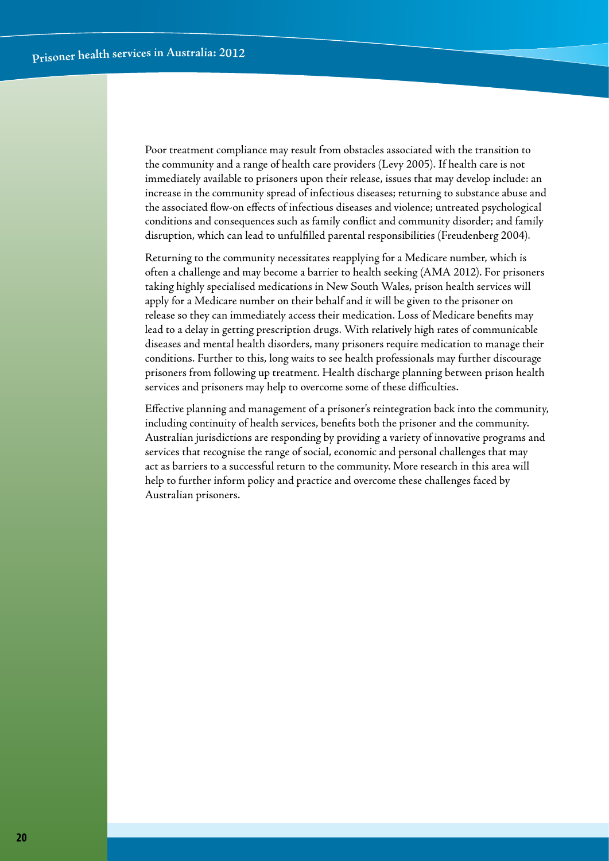Poor treatment compliance may result from obstacles associated with the transition to the community and a range of health care providers (Levy 2005). If health care is not immediately available to prisoners upon their release, issues that may develop include: an increase in the community spread of infectious diseases; returning to substance abuse and the associated flow-on effects of infectious diseases and violence; untreated psychological conditions and consequences such as family conflict and community disorder; and family disruption, which can lead to unfulfilled parental responsibilities (Freudenberg 2004).

Returning to the community necessitates reapplying for a Medicare number, which is often a challenge and may become a barrier to health seeking (AMA 2012). For prisoners taking highly specialised medications in New South Wales, prison health services will apply for a Medicare number on their behalf and it will be given to the prisoner on release so they can immediately access their medication. Loss of Medicare benefits may lead to a delay in getting prescription drugs. With relatively high rates of communicable diseases and mental health disorders, many prisoners require medication to manage their conditions. Further to this, long waits to see health professionals may further discourage prisoners from following up treatment. Health discharge planning between prison health services and prisoners may help to overcome some of these difficulties.

Effective planning and management of a prisoner's reintegration back into the community, including continuity of health services, benefits both the prisoner and the community. Australian jurisdictions are responding by providing a variety of innovative programs and services that recognise the range of social, economic and personal challenges that may act as barriers to a successful return to the community. More research in this area will help to further inform policy and practice and overcome these challenges faced by Australian prisoners.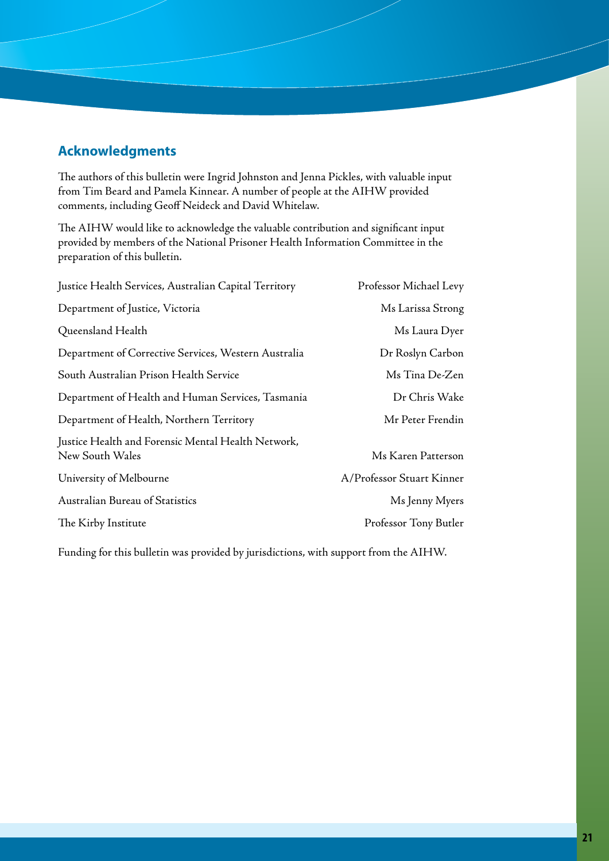# **Acknowledgments**

The authors of this bulletin were Ingrid Johnston and Jenna Pickles, with valuable input from Tim Beard and Pamela Kinnear. A number of people at the AIHW provided comments, including Geoff Neideck and David Whitelaw.

The AIHW would like to acknowledge the valuable contribution and significant input provided by members of the National Prisoner Health Information Committee in the preparation of this bulletin.

| Justice Health Services, Australian Capital Territory                 | Professor Michael Levy    |
|-----------------------------------------------------------------------|---------------------------|
| Department of Justice, Victoria                                       | Ms Larissa Strong         |
| Queensland Health                                                     | Ms Laura Dyer             |
| Department of Corrective Services, Western Australia                  | Dr Roslyn Carbon          |
| South Australian Prison Health Service                                | Ms Tina De-Zen            |
| Department of Health and Human Services, Tasmania                     | Dr Chris Wake             |
| Department of Health, Northern Territory                              | Mr Peter Frendin          |
| Justice Health and Forensic Mental Health Network,<br>New South Wales | Ms Karen Patterson        |
| University of Melbourne                                               | A/Professor Stuart Kinner |
| Australian Bureau of Statistics                                       | Ms Jenny Myers            |
| The Kirby Institute                                                   | Professor Tony Butler     |

Funding for this bulletin was provided by jurisdictions, with support from the AIHW.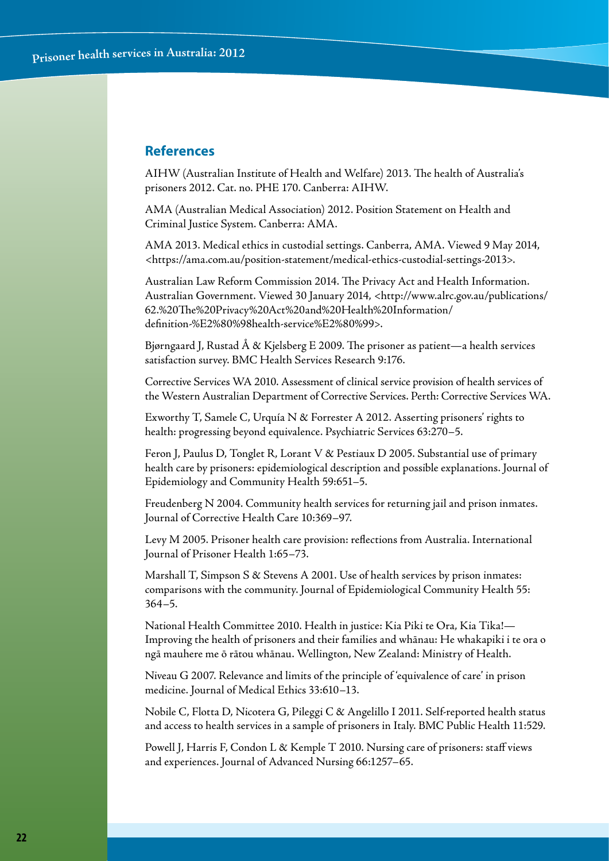## **References**

AIHW (Australian Institute of Health and Welfare) 2013. The health of Australia's prisoners 2012. Cat. no. PHE 170. Canberra: AIHW.

AMA (Australian Medical Association) 2012. Position Statement on Health and Criminal Justice System. Canberra: AMA.

AMA 2013. Medical ethics in custodial settings. Canberra, AMA. Viewed 9 May 2014, <https://ama.com.au/position-statement/medical-ethics-custodial-settings-2013>.

Australian Law Reform Commission 2014. The Privacy Act and Health Information. Australian Government. Viewed 30 January 2014, <http://www.alrc.gov.au/publications/ 62.%20The%20Privacy%20Act%20and%20Health%20Information/ definition-%E2%80%98health-service%E2%80%99>.

Bjørngaard J, Rustad Å & Kjelsberg E 2009. The prisoner as patient—a health services satisfaction survey. BMC Health Services Research 9:176.

Corrective Services WA 2010. Assessment of clinical service provision of health services of the Western Australian Department of Corrective Services. Perth: Corrective Services WA.

Exworthy T, Samele C, Urquía N & Forrester A 2012. Asserting prisoners' rights to health: progressing beyond equivalence. Psychiatric Services 63:270–5.

Feron J, Paulus D, Tonglet R, Lorant V & Pestiaux D 2005. Substantial use of primary health care by prisoners: epidemiological description and possible explanations. Journal of Epidemiology and Community Health 59:651–5.

Freudenberg N 2004. Community health services for returning jail and prison inmates. Journal of Corrective Health Care 10:369–97.

Levy M 2005. Prisoner health care provision: reflections from Australia. International Journal of Prisoner Health 1:65–73.

Marshall T, Simpson S & Stevens A 2001. Use of health services by prison inmates: comparisons with the community. Journal of Epidemiological Community Health 55: 364–5.

National Health Committee 2010. Health in justice: Kia Piki te Ora, Kia Tika!— Improving the health of prisoners and their families and whānau: He whakapiki i te ora o ngā mauhere me ō rātou whānau. Wellington, New Zealand: Ministry of Health.

Niveau G 2007. Relevance and limits of the principle of 'equivalence of care' in prison medicine. Journal of Medical Ethics 33:610–13.

Nobile C, Flotta D, Nicotera G, Pileggi C & Angelillo I 2011. Self-reported health status and access to health services in a sample of prisoners in Italy. BMC Public Health 11:529.

Powell J, Harris F, Condon L & Kemple T 2010. Nursing care of prisoners: staff views and experiences. Journal of Advanced Nursing 66:1257–65.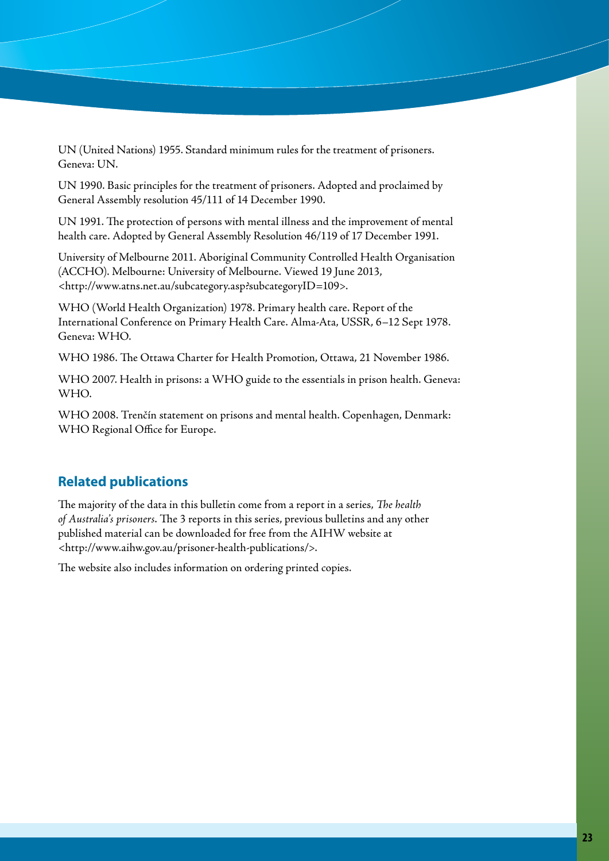UN (United Nations) 1955. Standard minimum rules for the treatment of prisoners. Geneva: UN.

UN 1990. Basic principles for the treatment of prisoners. Adopted and proclaimed by General Assembly resolution 45/111 of 14 December 1990.

UN 1991. The protection of persons with mental illness and the improvement of mental health care. Adopted by General Assembly Resolution 46/119 of 17 December 1991.

University of Melbourne 2011. Aboriginal Community Controlled Health Organisation (ACCHO). Melbourne: University of Melbourne. Viewed 19 June 2013, <http://www.atns.net.au/subcategory.asp?subcategoryID=109>.

WHO (World Health Organization) 1978. Primary health care. Report of the International Conference on Primary Health Care. Alma-Ata, USSR, 6–12 Sept 1978. Geneva: WHO.

WHO 1986. The Ottawa Charter for Health Promotion, Ottawa, 21 November 1986.

WHO 2007. Health in prisons: a WHO guide to the essentials in prison health. Geneva: WHO.

WHO 2008. Trenčín statement on prisons and mental health. Copenhagen, Denmark: WHO Regional Office for Europe.

# **Related publications**

The majority of the data in this bulletin come from a report in a series, *The health of Australia's prisoners*. The 3 reports in this series, previous bulletins and any other published material can be downloaded for free from the AIHW website at <http://www.aihw.gov.au/prisoner-health-publications/>.

The website also includes information on ordering printed copies.